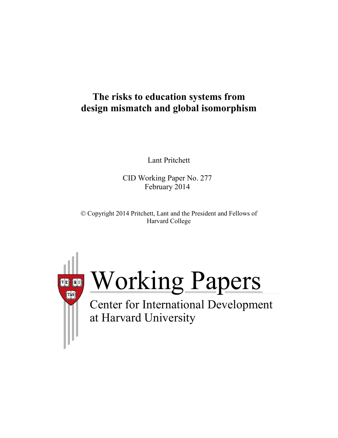## **The risks to education systems from design mismatch and global isomorphism**

Lant Pritchett

CID Working Paper No. 277 February 2014

 Copyright 2014 Pritchett, Lant and the President and Fellows of Harvard College



Working Papers

at Harvard University Center for International Development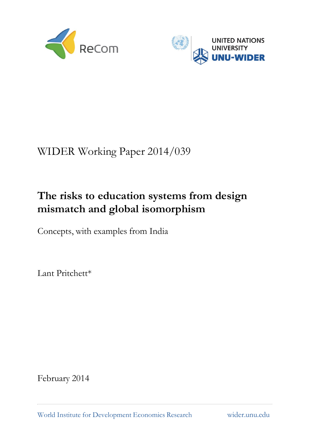



# WIDER Working Paper 2014/039

# **The risks to education systems from design mismatch and global isomorphism**

Concepts, with examples from India

Lant Pritchett\*

February 2014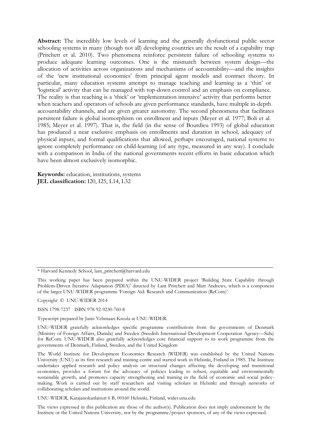**Abstract:** The incredibly low levels of learning and the generally dysfunctional public sector schooling systems in many (though not all) developing countries are the result of a capability trap (Pritchett et al. 2010). Two phenomena reinforce persistent failure of schooling systems to produce adequate learning outcomes. One is the mismatch between system design—the allocation of activities across organizations and mechanisms of accountability—and the insights of the 'new institutional economics' from principal agent models and contract theory. In particular, many education systems attempt to manage teaching and learning as a 'thin' or 'logistical' activity that can be managed with top-down control and an emphasis on compliance. The reality is that teaching is a 'thick' or 'implementation intensive' activity that performs better when teachers and operators of schools are given performance standards, have multiple in-depth accountability channels, and are given greater autonomy. The second phenomena that facilitates persistent failure is global isomorphism on enrollment and inputs (Meyer et al. 1977; Boli et al. 1985; Meyer et al. 1997). That is, the field (in the sense of Bourdieu 1993) of global education has produced a near exclusive emphasis on enrollments and duration in school, adequacy of physical inputs, and formal qualifications that allowed, perhaps encouraged, national systems to ignore completely performance on child-learning (of any type, measured in any way). I conclude with a comparison in India of the national governments recent efforts in basic education which have been almost exclusively isomorphic.

**Keywords:** education, institutions, systems **JEL classification:** I20, I25, L14, L32

Copyright © UNU-WIDER 2014

ISSN 1798-7237 ISBN 978-92-9230-760-8

Typescript prepared by Janis Vehmaan-Kreula at UNU-WIDER.

UNU-WIDER gratefully acknowledges specific programme contributions from the governments of Denmark (Ministry of Foreign Affairs, Danida) and Sweden (Swedish International Development Cooperation Agency—Sida) for ReCom. UNU-WIDER also gratefully acknowledges core financial support to its work programme from the governments of Denmark, Finland, Sweden, and the United Kingdom

The World Institute for Development Economics Research (WIDER) was established by the United Nations University (UNU) as its first research and training centre and started work in Helsinki, Finland in 1985. The Institute undertakes applied research and policy analysis on structural changes affecting the developing and transitional economies, provides a forum for the advocacy of policies leading to robust, equitable and environmentally sustainable growth, and promotes capacity strengthening and training in the field of economic and social policymaking. Work is carried out by staff researchers and visiting scholars in Helsinki and through networks of collaborating scholars and institutions around the world.

UNU-WIDER, Katajanokanlaituri 6 B, 00160 Helsinki, Finland, wider.unu.edu

The views expressed in this publication are those of the author(s). Publication does not imply endorsement by the Institute or the United Nations University, nor by the programme/project sponsors, of any of the views expressed.

<sup>\*</sup> Harvard Kennedy School, [lant\\_pritchett@harvard.edu](mailto:lant_pritchett@harvard.edu)

This working paper has been prepared within the UNU-WIDER project 'Building State Capability through Problem-Driven Iterative Adaptation (PDIA)' directed by Lant Pritchett and Matt Andrews, which is a component of the larger UNU-WIDER programme 'Foreign Aid: Research and Communication (ReCom)'.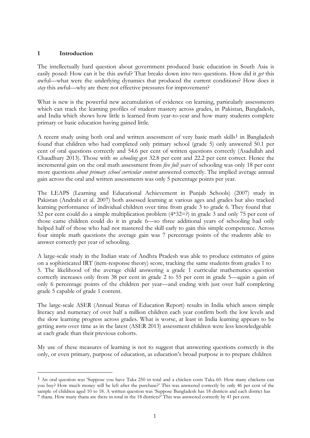#### **1 Introduction**

The intellectually hard question about government produced basic education in South Asia is easily posed: How can it be this awful? That breaks down into two questions. How did it *get* this awful—what were the underlying dynamics that produced the current conditions? How does it *stay* this awful—why are there not effective pressures for improvement?

What is new is the powerful new accumulation of evidence on learning, particularly assessments which can track the learning profiles of student mastery across grades, in Pakistan, Bangladesh, and India which shows how little is learned from year-to-year and how many students complete primary or basic education having gained little.

A recent study using both oral and written assessment of very basic math skills<sup>1</sup> in Bangladesh found that children who had completed only primary school (grade 5) only answered 50.1 per cent of oral questions correctly and 54.6 per cent of written questions correctly (Asadullah and Chaudhury 2013). Those with *no schooling* got 32.8 per cent and 22.2 per cent correct. Hence the incremental gain on the oral math assessment from *five full years* of schooling was only 18 per cent more questions *about primary school curricular content* answered correctly. The implied average annual gain across the oral and written assessments was only 5 percentage points per year.

The LEAPS (Learning and Educational Achievement in Punjab Schools) (2007) study in Pakistan (Andrabi et al. 2007) both assessed learning at various ages and grades but also tracked learning performance of individual children over time from grade 3 to grade 6. They found that 52 per cent could do a simple multiplication problem (4\*32=?) in grade 3 and only 75 per cent of those came children could do it in grade 6—so three additional years of schooling had only helped half of those who had not mastered the skill early to gain this simple competence. Across four simple math questions the average gain was 7 percentage points of the students able to answer correctly per year of schooling.

A large-scale study in the Indian state of Andhra Pradesh was able to produce estimates of gains on a sophisticated IRT (item-response theory) score, tracking the same students from grades 1 to 5. The likelihood of the average child answering a grade 1 curricular mathematics question correctly increases only from 38 per cent in grade 2 to 55 per cent in grade 5—again a gain of only 6 percentage points of the children per year—and ending with just over half completing grade 5 capable of grade 1 content.

The large-scale ASER (Annual Status of Education Report) results in India which assess simple literacy and numeracy of over half a million children each year confirm both the low levels and the slow learning progress across grades. What is worse, at least in India learning appears to be getting *worse* over time as in the latest (ASER 2013) assessment children were less knowledgeable at each grade than their previous cohorts.

My use of these measures of learning is not to suggest that answering questions correctly is the only, or even primary, purpose of education, as education's broad purpose is to prepare children

<sup>1</sup> An oral question was 'Suppose you have Taka 250 in total and a chicken costs Taka 60. How many chickens can you buy? How much money will be left after the purchase?' This was answered correctly by only 46 per cent of the sample of children aged 10 to 18. A written question was 'Suppose Bangladesh has 18 districts and each district has 7 thana. How many thana are there in total in the 18 districts?' This was answered correctly by 41 per cent.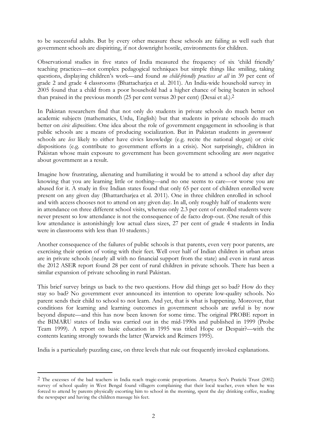to be successful adults. But by every other measure these schools are failing as well such that government schools are dispiriting, if not downright hostile, environments for children.

Observational studies in five states of India measured the frequency of six 'child friendly' teaching practices—not complex pedagogical techniques but simple things like smiling, taking questions, displaying children's work—and found *no child-friendly practices at all* in 39 per cent of grade 2 and grade 4 classrooms (Bhattacharjea et al. 2011). An India-wide household survey in 2005 found that a child from a poor household had a higher chance of being beaten in school than praised in the previous month (25 per cent versus 20 per cent) (Desai et al.).2

In Pakistan researchers find that not only do students in private schools do much better on academic subjects (mathematics, Urdu, English) but that students in private schools do much better on *civic dispositions*. One idea about the role of government engagement in schooling is that public schools are a means of producing socialization. But in Pakistan students in *government* schools are *less* likely to either have civics knowledge (e.g. recite the national slogan) or civic dispositions (e.g. contribute to government efforts in a crisis). Not surprisingly, children in Pakistan whose main exposure to government has been government schooling are *more* negative about government as a result.

Imagine how frustrating, alienating and humiliating it would be to attend a school day after day knowing that you are learning little or nothing—and no one seems to care—or worse you are abused for it. A study in five Indian states found that only 65 per cent of children enrolled were present on any given day (Bhattarcharjea et al. 2011). One in three children enrolled in school and with access chooses not to attend on any given day. In all, only roughly half of students were in attendance on three different school visits, whereas only 2.3 per cent of enrolled students were never present so low attendance is not the consequence of de facto drop-out. (One result of this low attendance is astonishingly low actual class sizes, 27 per cent of grade 4 students in India were in classrooms with less than 10 students.)

Another consequence of the failures of public schools is that parents, even very poor parents, are exercising their option of voting with their feet. Well over half of Indian children in urban areas are in private schools (nearly all with no financial support from the state) and even in rural areas the 2012 ASER report found 28 per cent of rural children in private schools. There has been a similar expansion of private schooling in rural Pakistan.

This brief survey brings us back to the two questions. How did things get so bad? How do they stay so bad? No government ever announced its intention to operate low-quality schools. No parent sends their child to school to not learn. And yet, that is what is happening. Moreover, that conditions for learning and learning outcomes in government schools are awful is by now beyond dispute—and this has now been known for some time. The original PROBE report in the BIMARU states of India was carried out in the mid-1990s and published in 1999 (Probe Team 1999). A report on basic education in 1995 was titled Hope or Despair?—with the contents leaning strongly towards the latter (Warwick and Reimers 1995).

India is a particularly puzzling case, on three levels that rule out frequently invoked explanations.

<sup>2</sup> The excesses of the bad teachers in India reach tragic-comic proportions. Amartya Sen's Pratichi Trust (2002) survey of school quality in West Bengal found villagers complaining that their local teacher, even when he was forced to attend by parents physically escorting him to school in the morning, spent the day drinking coffee, reading the newspaper and having the children massage his feet.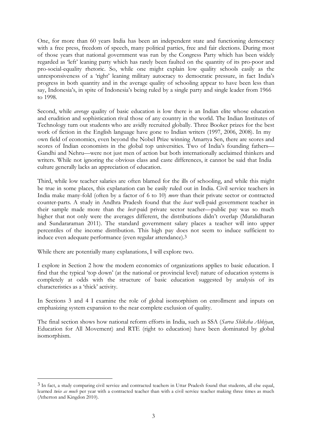One, for more than 60 years India has been an independent state and functioning democracy with a free press, freedom of speech, many political parties, free and fair elections. During most of those years that national government was run by the Congress Party which has been widely regarded as 'left' leaning party which has rarely been faulted on the quantity of its pro-poor and pro-social-equality rhetoric. So, while one might explain low quality schools easily as the unresponsiveness of a 'right' leaning military autocracy to democratic pressure, in fact India's progress in both quantity and in the average quality of schooling appear to have been less than say, Indonesia's, in spite of Indonesia's being ruled by a single party and single leader from 1966 to 1998.

Second, while *average* quality of basic education is low there is an Indian elite whose education and erudition and sophistication rival those of any country in the world. The Indian Institutes of Technology turn out students who are avidly recruited globally. Three Booker prizes for the best work of fiction in the English language have gone to Indian writers (1997, 2006, 2008). In my own field of economics, even beyond the Nobel Prize winning Amartya Sen, there are scores and scores of Indian economists in the global top universities. Two of India's founding fathers— Gandhi and Nehru—were not just men of action but both internationally acclaimed thinkers and writers. While not ignoring the obvious class and caste differences, it cannot be said that India culture generally lacks an appreciation of education.

Third, while low teacher salaries are often blamed for the ills of schooling, and while this might be true in some places, this explanation can be easily ruled out in India. Civil service teachers in India make many-fold (often by a factor of 6 to 10) *more* than their private sector or contracted counter-parts. A study in Andhra Pradesh found that the *least* well-paid government teacher in their sample made more than the *best*-paid private sector teacher—public pay was so much higher that not only were the averages different, the distributions didn't overlap (Muralidharan and Sundararaman 2011). The standard government salary places a teacher will into upper percentiles of the income distribution. This high pay does not seem to induce sufficient to induce even adequate performance (even regular attendance).3

While there are potentially many explanations, I will explore two.

I explore in Section 2 how the modern economics of organizations applies to basic education. I find that the typical 'top down' (at the national or provincial level) nature of education systems is completely at odds with the structure of basic education suggested by analysis of its characteristics as a 'thick' activity.

In Sections 3 and 4 I examine the role of global isomorphism on enrollment and inputs on emphasizing system expansion to the near complete exclusion of quality.

The final section shows how national reform efforts in India, such as SSA (*Sarva Shiksha Abhiyan*, Education for All Movement) and RTE (right to education) have been dominated by global isomorphism.

<sup>3</sup> In fact, a study comparing civil service and contracted teachers in Uttar Pradesh found that students, all else equal, learned *twice as much* per year with a contracted teacher than with a civil service teacher making three times as much (Atherton and Kingdon 2010).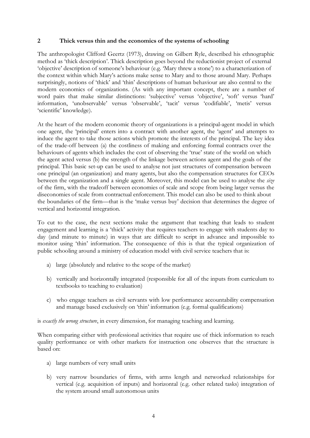#### **2 Thick versus thin and the economics of the systems of schooling**

The anthropologist Clifford Geertz (1973), drawing on Gilbert Ryle, described his ethnographic method as 'thick description'. Thick description goes beyond the reductionist project of external 'objective' description of someone's behaviour (e.g. 'Mary threw a stone') to a characterization of the context within which Mary's actions make sense to Mary and to those around Mary. Perhaps surprisingly, notions of 'thick' and 'thin' descriptions of human behaviour are also central to the modern economics of organizations. (As with any important concept, there are a number of word pairs that make similar distinctions: 'subjective' versus 'objective', 'soft' versus 'hard' information, 'unobservable' versus 'observable', 'tacit' versus 'codifiable', 'metis' versus 'scientific' knowledge).

At the heart of the modern economic theory of organizations is a principal-agent model in which one agent, the 'principal' enters into a contract with another agent, the 'agent' and attempts to induce the agent to take those actions which promote the interests of the principal. The key idea of the trade-off between (a) the costliness of making and enforcing formal contracts over the behaviours of agents which includes the cost of observing the 'true' state of the world on which the agent acted versus (b) the strength of the linkage between actions agent and the goals of the principal. This basic set-up can be used to analyse not just structures of compensation between one principal (an organization) and many agents, but also the compensation structures for CEOs between the organization and a single agent. Moreover, this model can be used to analyse the *size*  of the firm, with the tradeoff between economies of scale and scope from being larger versus the diseconomies of scale from contractual enforcement. This model can also be used to think about the boundaries of the firm—that is the 'make versus buy' decision that determines the degree of vertical and horizontal integration.

To cut to the case, the next sections make the argument that teaching that leads to student engagement and learning is a 'thick' activity that requires teachers to engage with students day to day (and minute to minute) in ways that are difficult to script in advance and impossible to monitor using 'thin' information. The consequence of this is that the typical organization of public schooling around a ministry of education model with civil service teachers that is:

- a) large (absolutely and relative to the scope of the market)
- b) vertically and horizontally integrated (responsible for all of the inputs from curriculum to textbooks to teaching to evaluation)
- c) who engage teachers as civil servants with low performance accountability compensation and manage based exclusively on 'thin' information (e.g. formal qualifications)

is *exactly the wrong structure*, in every dimension, for managing teaching and learning.

When comparing either with professional activities that require use of thick information to reach quality performance or with other markets for instruction one observes that the structure is based on:

- a) large numbers of very small units
- b) very narrow boundaries of firms, with arms length and networked relationships for vertical (e.g. acquisition of inputs) and horizontal (e.g. other related tasks) integration of the system around small autonomous units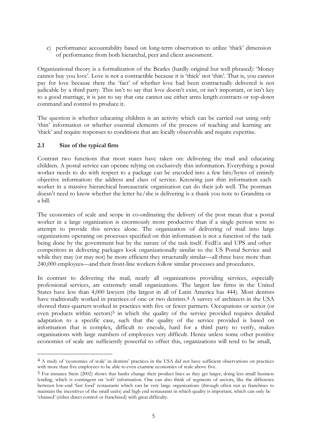c) performance accountability based on long-term observation to utilize 'thick' dimension of performance from both hierarchal, peer and client assessment.

Organizational theory is a formalization of the Beatles (hardly original but well phrased): 'Money cannot buy you love'. Love is not a contractible because it is 'thick' not 'thin'. That is, you cannot pay for love because there the 'fact' of whether love had been contractually delivered is not judicable by a third party. This isn't to say that love doesn't exist, or isn't important, or isn't key to a good marriage, it is just to say that one cannot use either arms length contracts or top-down command and control to produce it.

The question is whether educating children is an activity which can be carried out using only 'thin' information or whether essential elements of the process of teaching and learning are 'thick' and require responses to conditions that are locally observable and require expertise.

#### **2.1 Size of the typical firm**

Contrast two functions that most states have taken on: delivering the mail and educating children. A postal service can operate relying on exclusively thin information. Everything a postal worker needs to do with respect to a package can be encoded into a few bits/bytes of entirely objective information: the address and class of service. Knowing just thin information each worker in a massive hierarchical bureaucratic organization can do their job well. The postman doesn't need to know whether the letter he/she is delivering is a thank you note to Grandma or a bill.

The economics of scale and scope in co-ordinating the delivery of the post mean that a postal worker in a large organization is enormously more productive than if a single person were to attempt to provide this service alone. The organization of delivering of mail into large organizations operating on processes specified on thin information is not a function of the task being done by the government but by the nature of the task itself. FedEx and UPS and other competitors in delivering packages look organizationally similar to the US Postal Service and while they may (or may not) be more efficient they structurally similar—all three have more than 240,000 employees—and their front-line workers follow similar processes and procedures.

In contrast to delivering the mail, nearly all organizations providing services, especially professional services, are extremely small organizations. The largest law firms in the United States have less than 4,000 lawyers (the largest in all of Latin America has 444). Most dentists have traditionally worked in practices of one or two dentists.4 A survey of architects in the USA showed three-quarters worked in practices with five or fewer partners. Occupations or sector (or even products within sectors)<sup>5</sup> in which the quality of the service provided requires detailed adaptation to a specific case, such that the quality of the service provided is based on information that is complex, difficult to encode, hard for a third party to verify, makes organizations with large numbers of employees very difficult. Hence unless some other positive economies of scale are sufficiently powerful to offset this, organizations will tend to be small,

<sup>4</sup> A study of 'economies of scale' in dentists' practices in the USA did not have sufficient observations on practices with more than five employees to be able to even examine economies of scale above five.

<sup>5</sup> For instance Stein (2002) shows that banks change their product lines as they get larger, doing less small business lending, which is contingent on 'soft' information. One can also think of segments of sectors, like the difference between low-end 'fast food' restaurants which can be very large organizations (through often run as franchises to maintain the incentives of the small units) and high end restaurants in which quality is important, which can only be 'chained' (either direct control or franchised) with great difficulty.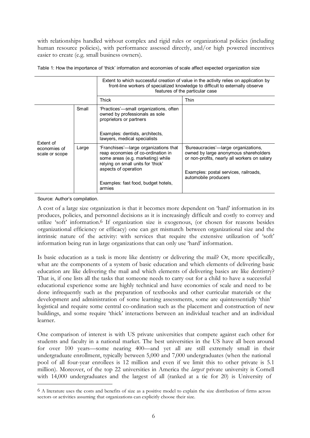with relationships handled without complex and rigid rules or organizational policies (including human resource policies), with performance assessed directly, and/or high powered incentives easier to create (e.g. small business owners).

|                                             |       | Extent to which successful creation of value in the activity relies on application by<br>front-line workers of specialized knowledge to difficult to externally observe<br>features of the particular case                      |                                                                                                                                                                                                |  |  |  |
|---------------------------------------------|-------|---------------------------------------------------------------------------------------------------------------------------------------------------------------------------------------------------------------------------------|------------------------------------------------------------------------------------------------------------------------------------------------------------------------------------------------|--|--|--|
|                                             |       | Thick                                                                                                                                                                                                                           | Thin                                                                                                                                                                                           |  |  |  |
|                                             | Small | 'Practices'—small organizations, often<br>owned by professionals as sole<br>proprietors or partners<br>Examples: dentists, architects,<br>lawyers, medical specialists                                                          |                                                                                                                                                                                                |  |  |  |
| Extent of<br>economies of<br>scale or scope | Large | 'Franchises'—large organizations that<br>reap economies of co-ordination in<br>some areas (e.g. marketing) while<br>relying on small units for 'thick'<br>aspects of operation<br>Examples: fast food, budget hotels,<br>armies | 'Bureaucracies'—large organizations,<br>owned by large anonymous shareholders<br>or non-profits, nearly all workers on salary<br>Examples: postal services, railroads,<br>automobile producers |  |  |  |

Table 1: How the importance of 'thick' information and economies of scale affect expected organization size

Source: Author's compilation.

A cost of a large size organization is that it becomes more dependent on 'hard' information in its produces, policies, and personnel decisions as it is increasingly difficult and costly to convey and utilize 'soft' information.6 If organization size is exogenous, (or chosen for reasons besides organizational efficiency or efficacy) one can get mismatch between organizational size and the intrinsic nature of the activity: with services that require the extensive utilization of 'soft' information being run in large organizations that can only use 'hard' information.

Is basic education as a task is more like dentistry or delivering the mail? Or, more specifically, what are the components of a system of basic education and which elements of delivering basic education are like delivering the mail and which elements of delivering basics are like dentistry? That is, if one lists all the tasks that someone needs to carry out for a child to have a successful educational experience some are highly technical and have economies of scale and need to be done infrequently such as the preparation of textbooks and other curricular materials or the development and administration of some learning assessments, some are quintessentially 'thin' logistical and require some central co-ordination such as the placement and construction of new buildings, and some require 'thick' interactions between an individual teacher and an individual learner.

One comparison of interest is with US private universities that compete against each other for students and faculty in a national market. The best universities in the US have all been around for over 100 years—some nearing 400—and yet all are still extremely small in their undergraduate enrollment, typically between 5,000 and 7,000 undergraduates (when the national pool of all four-year enrollees is 12 million and even if we limit this to other private is 5.1 million). Moreover, of the top 22 universities in America the *largest* private university is Cornell with 14,000 undergraduates and the largest of all (ranked at a tie for 20) is University of

<sup>6</sup> A literature uses the costs and benefits of size as a positive model to explain the size distribution of firms across sectors or activities assuming that organizations can explicitly choose their size.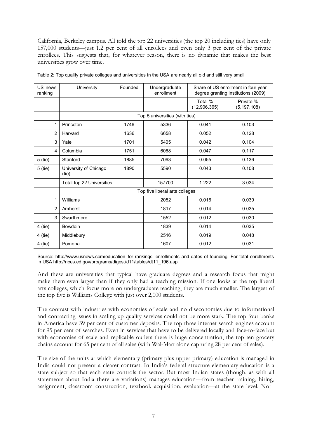California, Berkeley campus. All told the top 22 universities (the top 20 including ties) have only 157,000 students—just 1.2 per cent of all enrollees and even only 3 per cent of the private enrollees. This suggests that, for whatever reason, there is no dynamic that makes the best universities grow over time.

| US news<br>ranking | University                     | Founded | Undergraduate<br>enrollment |                         | Share of US enrollment in four year<br>degree granting institutions (2009) |
|--------------------|--------------------------------|---------|-----------------------------|-------------------------|----------------------------------------------------------------------------|
|                    |                                |         |                             | Total %<br>(12,906,365) | Private %<br>(5, 197, 108)                                                 |
|                    |                                |         |                             |                         |                                                                            |
| 1                  | Princeton                      | 1746    | 5336                        | 0.041                   | 0.103                                                                      |
| $\overline{2}$     | Harvard                        | 1636    | 6658                        | 0.052                   | 0.128                                                                      |
| 3                  | Yale                           | 1701    | 5405                        | 0.042                   | 0.104                                                                      |
| 4                  | Columbia                       | 1751    | 6068                        | 0.047                   | 0.117                                                                      |
| 5 (tie)            | Stanford                       | 1885    | 7063                        | 0.055                   | 0.136                                                                      |
| 5 (tie)            | University of Chicago<br>(tie) | 1890    | 5590                        | 0.043                   | 0.108                                                                      |
|                    | Total top 22 Universities      |         | 157700                      | 1.222                   | 3.034                                                                      |
|                    | Top five liberal arts colleges |         |                             |                         |                                                                            |
| 1                  | Williams                       |         | 2052                        | 0.016                   | 0.039                                                                      |
| $\overline{2}$     | Amherst                        |         | 1817                        | 0.014                   | 0.035                                                                      |
| 3                  | Swarthmore                     |         | 1552                        | 0.012                   | 0.030                                                                      |
| 4 (tie)            | Bowdoin                        |         | 1839                        | 0.014                   | 0.035                                                                      |
| 4 (tie)            | Middlebury                     |         | 2516                        | 0.019                   | 0.048                                                                      |
| 4 (tie)            | Pomona                         |         | 1607                        | 0.012                   | 0.031                                                                      |

Table 2: Top quality private colleges and universities in the USA are nearly all old and still very small

Source: <http://www.usnews.com/education> for rankings, enrollments and dates of founding. For total enrollments in US[A http://nces.ed.gov/programs/digest/d11/tables/dt11\\_196.asp.](http://nces.ed.gov/programs/digest/d11/tables/dt11_196.asp)

And these are universities that typical have graduate degrees and a research focus that might make them even larger than if they only had a teaching mission. If one looks at the top liberal arts colleges, which focus more on undergraduate teaching, they are much smaller. The largest of the top five is Williams College with just over 2,000 students.

The contrast with industries with economies of scale and no diseconomies due to informational and contracting issues in scaling up quality services could not be more stark. The top four banks in America have 39 per cent of customer deposits. The top three internet search engines account for 95 per cent of searches. Even in services that have to be delivered locally and face-to-face but with economies of scale and replicable outlets there is huge concentration, the top ten grocery chains account for 65 per cent of all sales (with Wal-Mart alone capturing 28 per cent of sales).

The size of the units at which elementary (primary plus upper primary) education is managed in India could not present a clearer contrast. In India's federal structure elementary education is a state subject so that each state controls the sector. But most Indian states (though, as with all statements about India there are variations) manages education—from teacher training, hiring, assignment, classroom construction, textbook acquisition, evaluation—at the state level. Not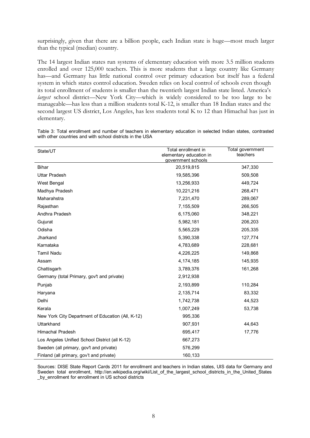surprisingly, given that there are a billion people, each Indian state is huge—most much larger than the typical (median) country.

The 14 largest Indian states run systems of elementary education with more 3.5 million students enrolled and over 125,000 teachers. This is more students that a large country like Germany has—and Germany has little national control over primary education but itself has a federal system in which states control education. Sweden relies on local control of schools even though its total enrollment of students is smaller than the twentieth largest Indian state listed. America's *largest* school district—New York City—which is widely considered to be too large to be manageable—has less than a million students total K-12, is smaller than 18 Indian states and the second largest US district, Los Angeles, has less students total K to 12 than Himachal has just in elementary.

| Table 3: Total enrollment and number of teachers in elementary education in selected Indian states, contrasted |  |  |  |  |  |
|----------------------------------------------------------------------------------------------------------------|--|--|--|--|--|
| with other countries and with school districts in the USA                                                      |  |  |  |  |  |

| State/UT                                          | Total enrollment in<br>elementary education in | Total government<br>teachers |
|---------------------------------------------------|------------------------------------------------|------------------------------|
|                                                   | government schools                             |                              |
| <b>Bihar</b>                                      | 20,519,815                                     | 347,330                      |
| <b>Uttar Pradesh</b>                              | 19,585,396                                     | 509,508                      |
| West Bengal                                       | 13,256,933                                     | 449,724                      |
| Madhya Pradesh                                    | 10,221,216                                     | 268,471                      |
| Maharahstra                                       | 7,231,470                                      | 289,067                      |
| Rajasthan                                         | 7,155,509                                      | 266,505                      |
| Andhra Pradesh                                    | 6,175,060                                      | 348,221                      |
| Gujurat                                           | 5,982,181                                      | 206,203                      |
| Odisha                                            | 5,565,229                                      | 205,335                      |
| Jharkand                                          | 5,390,338                                      | 127,774                      |
| Karnataka                                         | 4,783,689                                      | 228,681                      |
| Tamil Nadu                                        | 4,226,225                                      | 149,868                      |
| Assam                                             | 4,174,185                                      | 145,935                      |
| Chattisgarh                                       | 3,789,376                                      | 161,268                      |
| Germany (total Primary, gov't and private)        | 2,912,938                                      |                              |
| Punjab                                            | 2,193,899                                      | 110,284                      |
| Haryana                                           | 2,135,714                                      | 83,332                       |
| Delhi                                             | 1,742,738                                      | 44,523                       |
| Kerala                                            | 1,007,249                                      | 53,738                       |
| New York City Department of Education (All, K-12) | 995,336                                        |                              |
| Uttarkhand                                        | 907,931                                        | 44,643                       |
| <b>Himachal Pradesh</b>                           | 695,417                                        | 17,776                       |
| Los Angeles Unified School District (all K-12)    | 667,273                                        |                              |
| Sweden (all primary, gov't and private)           | 576,299                                        |                              |
| Finland (all primary, gov't and private)          | 160,133                                        |                              |

Sources: DISE State Report Cards 2011 for enrollment and teachers in Indian states, UIS data for Germany and Sweden total enrollment, [http://en.wikipedia.org/wiki/List\\_of\\_the\\_largest\\_school\\_districts\\_in\\_the\\_United\\_States](http://en.wikipedia.org/wiki/List_of_the_largest_school_districts_in_the_United_States) \_by\_enrollment for enrollment in US school districts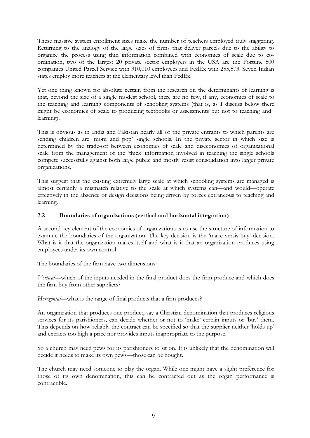These massive system enrollment sizes make the number of teachers employed truly staggering. Returning to the analogy of the large sizes of firms that deliver parcels due to the ability to organize the process using thin information combined with economies of scale due to coordination, two of the largest 20 private sector employers in the USA are the Fortune 500 companies United Parcel Service with 310,010 employees and FedEx with 255,573. Seven Indian states employ more teachers at the elementary level than FedEx.

Yet one thing known for absolute certain from the research on the determinants of learning is that, beyond the size of a single modest school, there are no few, if any, economies of scale to the teaching and learning components of schooling systems (that is, as I discuss below there might be economies of scale to producing textbooks or assessments but not to teaching and learning).

This is obvious as in India and Pakistan nearly all of the private entrants to which parents are sending children are 'mom and pop' single schools. In the private sector in which size is determined by the trade-off between economies of scale and diseconomies of organizational scale from the management of the 'thick' information involved in teaching the single schools compete successfully against both large public and mostly resist consolidation into larger private organizations.

This suggest that the existing extremely large scale at which schooling systems are managed is almost certainly a mismatch relative to the scale at which systems can—and would—operate effectively in the absence of design decisions being driven by forces extraneous to teaching and learning.

#### **2.2 Boundaries of organizations (vertical and horizontal integration)**

A second key element of the economics of organizations is to use the structure of information to examine the boundaries of the organization. The key decision is the 'make versis buy' decision. What is it that the organization makes itself and what is it that an organization produces using employees under its own control.

The boundaries of the firm have two dimensions:

*Vertical—*which of the inputs needed in the final product does the firm produce and which does the firm buy from other suppliers?

*Horizontal*—what is the range of final products that a firm produces?

An organization that produces one product, say a Christian denomination that produces religious services for its parishioners, can decide whether or not to 'make' certain inputs or 'buy' them. This depends on how reliably the contract can be specified so that the supplier neither 'holds up' and extracts too high a price nor provides inputs inappropriate to the purpose.

So a church may need pews for its parishioners to sit on. It is unlikely that the denomination will decide it needs to make its own pews—those can be bought.

The church may need someone to play the organ. While one might have a slight preference for those of its own denomination, this can be contracted out as the organ performance is contractible.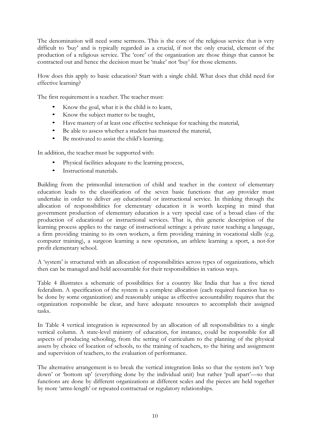The denomination will need some sermons. This is the core of the religious service that is very difficult to 'buy' and is typically regarded as a crucial, if not the only crucial, element of the production of a religious service. The 'core' of the organization are those things that cannot be contracted out and hence the decision must be 'make' not 'buy' for those elements.

How does this apply to basic education? Start with a single child. What does that child need for effective learning?

The first requirement is a teacher. The teacher must:

- Know the goal, what it is the child is to learn,
- Know the subject matter to be taught,
- Have mastery of at least one effective technique for teaching the material,
- Be able to assess whether a student has mastered the material,
- Be motivated to assist the child's learning.

In addition, the teacher must be supported with:

- Physical facilities adequate to the learning process,
- Instructional materials.

Building from the primordial interaction of child and teacher in the context of elementary education leads to the classification of the seven basic functions that *any* provider must undertake in order to deliver *any* educational or instructional service. In thinking through the allocation of responsibilities for elementary education it is worth keeping in mind that government production of elementary education is a very special case of a broad class of the production of educational or instructional services. That is, this generic description of the learning process applies to the range of instructional settings: a private tutor teaching a language, a firm providing training to its own workers, a firm providing training in vocational skills (e.g. computer training), a surgeon learning a new operation, an athlete learning a sport, a not-for profit elementary school.

A 'system' is structured with an allocation of responsibilities across types of organizations, which then can be managed and held accountable for their responsibilities in various ways.

Table 4 illustrates a schematic of possibilities for a country like India that has a five tiered federalism. A specification of the system is a complete allocation (each required function has to be done by some organization) and reasonably unique as effective accountability requires that the organization responsible be clear, and have adequate resources to accomplish their assigned tasks.

In Table 4 vertical integration is represented by an allocation of all responsibilities to a single vertical column. A state-level ministry of education, for instance, could be responsible for all aspects of producing schooling, from the setting of curriculum to the planning of the physical assets by choice of location of schools, to the training of teachers, to the hiring and assignment and supervision of teachers, to the evaluation of performance.

The alternative arrangement is to break the vertical integration links so that the system isn't 'top down' or 'bottom up' (everything done by the individual unit) but rather 'pull apart'—so that functions are done by different organizations at different scales and the pieces are held together by more 'arms-length' or repeated contractual or regulatory relationships.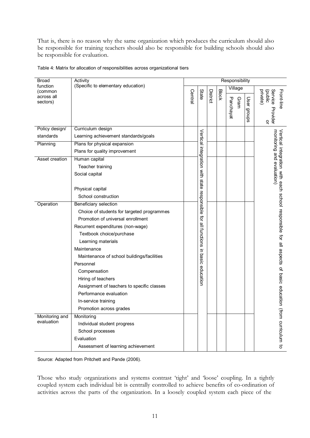That is, there is no reason why the same organization which produces the curriculum should also be responsible for training teachers should also be responsible for building schools should also be responsible for evaluation.

| <b>Broad</b>           | Activity                                   | Responsibility |                                             |          |              |           |      |             |                                                               |
|------------------------|--------------------------------------------|----------------|---------------------------------------------|----------|--------------|-----------|------|-------------|---------------------------------------------------------------|
| function<br>(common    | (Specific to elementary education)         |                |                                             |          |              | Village   |      |             |                                                               |
| across all<br>sectors) |                                            | Central        | State                                       | District | <b>Block</b> | Panchayat | Gram | User groups | (public<br>private)<br>Service<br>Front-line<br>Provider<br>õ |
| Policy design/         | Curriculum design                          |                |                                             |          |              |           |      |             |                                                               |
| standards              | Learning achievement standards/goals       |                |                                             |          |              |           |      |             | monitoring and evaluation)                                    |
| Planning               | Plans for physical expansion               |                |                                             |          |              |           |      |             |                                                               |
|                        | Plans for quality improvement              |                |                                             |          |              |           |      |             |                                                               |
| Asset creation         | Human capital                              |                |                                             |          |              |           |      |             |                                                               |
|                        | Teacher training                           |                |                                             |          |              |           |      |             |                                                               |
|                        | Social capital                             |                |                                             |          |              |           |      |             |                                                               |
|                        | Physical capital<br>School construction    |                | Vertical integration with state responsible |          |              |           |      |             | Vertical integration with each school responsible             |
| Operation              | Beneficiary selection                      |                |                                             |          |              |           |      |             |                                                               |
|                        | Choice of students for targeted programmes |                |                                             |          |              |           |      |             |                                                               |
|                        | Promotion of universal enrollment          |                | đ                                           |          |              |           |      |             |                                                               |
|                        | Recurrent expenditures (non-wage)          |                |                                             |          |              |           |      |             |                                                               |
|                        | Textbook choice/purchase                   |                | all functions                               |          |              |           |      |             |                                                               |
|                        | Learning materials                         |                |                                             |          |              |           |      |             |                                                               |
|                        | Maintenance                                |                |                                             |          |              |           |      |             | for all aspects                                               |
|                        | Maintenance of school buildings/facilities |                |                                             |          |              |           |      |             |                                                               |
|                        | Personnel                                  |                | in basic                                    |          |              |           |      |             |                                                               |
|                        | Compensation                               |                | education                                   |          |              |           |      |             | ቧ                                                             |
|                        | Hiring of teachers                         |                |                                             |          |              |           |      |             | basic                                                         |
|                        | Assignment of teachers to specific classes |                |                                             |          |              |           |      |             |                                                               |
|                        | Performance evaluation                     |                |                                             |          |              |           |      |             | education                                                     |
|                        | In-service training                        |                |                                             |          |              |           |      |             |                                                               |
|                        | Promotion across grades                    |                |                                             |          |              |           |      |             |                                                               |
| Monitoring and         | Monitoring                                 |                |                                             |          |              |           |      |             |                                                               |
| evaluation             | Individual student progress                |                |                                             |          |              |           |      |             |                                                               |
|                        | School processes                           |                |                                             |          |              |           |      |             |                                                               |
|                        | Evaluation                                 |                |                                             |          |              |           |      |             | (from curriculum to                                           |
|                        | Assessment of learning achievement         |                |                                             |          |              |           |      |             |                                                               |

Table 4: Matrix for allocation of responsibilities across organizational tiers

Source: Adapted from Pritchett and Pande (2006).

Those who study organizations and systems contrast 'tight' and 'loose' coupling. In a tightly coupled system each individual bit is centrally controlled to achieve benefits of co-ordination of activities across the parts of the organization. In a loosely coupled system each piece of the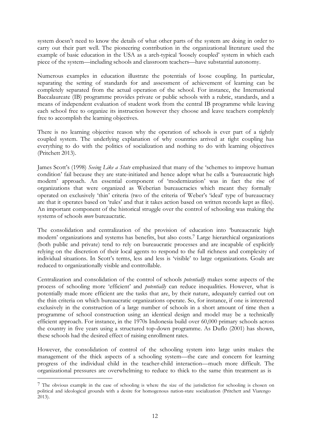system doesn't need to know the details of what other parts of the system are doing in order to carry out their part well. The pioneering contribution in the organizational literature used the example of basic education in the USA as a arch-typical 'loosely coupled' system in which each piece of the system—including schools and classroom teachers—have substantial autonomy.

Numerous examples in education illustrate the potentials of loose coupling. In particular, separating the setting of standards for and assessment of achievement of learning can be completely separated from the actual operation of the school. For instance, the International Baccalaureate (IB) programme provides private or public schools with a rubric, standards, and a means of independent evaluation of student work from the central IB programme while leaving each school free to organize its instruction however they choose and leave teachers completely free to accomplish the learning objectives.

There is no learning objective reason why the operation of schools is ever part of a tightly coupled system. The underlying explanation of why countries arrived at tight coupling has everything to do with the politics of socialization and nothing to do with learning objectives (Pritchett 2013).

James Scott's (1998) *Seeing Like a State* emphasized that many of the 'schemes to improve human condition' fail because they are state-initiated and hence adopt what he calls a 'bureaucratic high modern' approach. An essential component of 'modernization' was in fact the rise of organizations that were organized as Weberian bureaucracies which meant they formally operated on exclusively 'thin' criteria (two of the criteria of Weber's 'ideal' type of bureaucracy are that it operates based on 'rules' and that it takes action based on written records kept as files). An important component of the historical struggle over the control of schooling was making the systems of schools *more* bureaucratic.

The consolidation and centralization of the provision of education into 'bureaucratic high modern' organizations and systems has benefits, but also costs.7 Large hierarchical organizations (both public and private) tend to rely on bureaucratic processes and are incapable of explicitly relying on the discretion of their local agents to respond to the full richness and complexity of individual situations. In Scott's terms, less and less is 'visible' to large organizations. Goals are reduced to organizationally visible and controllable.

Centralization and consolidation of the control of schools *potentially* makes some aspects of the process of schooling more 'efficient' and *potentially* can reduce inequalities. However, what is potentially made more efficient are the tasks that are, by their nature, adequately carried out on the thin criteria on which bureaucratic organizations operate. So, for instance, if one is interested exclusively in the construction of a large number of schools in a short amount of time then a programme of school construction using an identical design and model may be a technically efficient approach. For instance, in the 1970s Indonesia build over 60,000 primary schools across the country in five years using a structured top-down programme. As Duflo (2001) has shown, these schools had the desired effect of raising enrollment rates.

However, the consolidation of control of the schooling system into large units makes the management of the thick aspects of a schooling system—the care and concern for learning progress of the individual child in the teacher-child interaction—much more difficult. The organizational pressures are overwhelming to reduce to thick to the same thin treatment as is

<sup>7</sup> The obvious example in the case of schooling is where the size of the jurisdiction for schooling is chosen on political and ideological grounds with a desire for homogenous nation-state socialization (Pritchett and Viarengo 2013).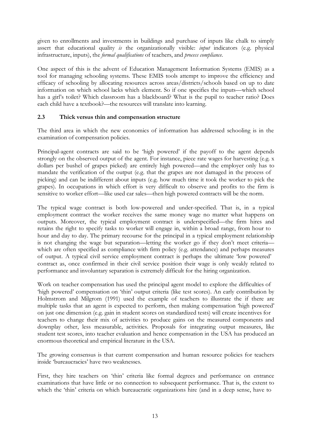given to enrollments and investments in buildings and purchase of inputs like chalk to simply assert that educational quality *is* the organizationally visible: *input* indicators (e.g. physical infrastructure, inputs), the *formal qualifications* of teachers, and *process compliance.*

One aspect of this is the advent of Education Management Information Systems (EMIS) as a tool for managing schooling systems. These EMIS tools attempt to improve the efficiency and efficacy of schooling by allocating resources across areas/districts/schools based on up to date information on which school lacks which element. So if one specifies the inputs—which school has a girl's toilet? Which classroom has a blackboard? What is the pupil to teacher ratio? Does each child have a textbook?—the resources will translate into learning.

#### **2.3 Thick versus thin and compensation structure**

The third area in which the new economics of information has addressed schooling is in the examination of compensation policies.

Principal-agent contracts are said to be 'high powered' if the payoff to the agent depends strongly on the observed output of the agent. For instance, piece rate wages for harvesting (e.g. x dollars per bushel of grapes picked) are entirely high powered—and the employer only has to mandate the verification of the output (e.g. that the grapes are not damaged in the process of picking) and can be indifferent about inputs (e.g. how much time it took the worker to pick the grapes). In occupations in which effort is very difficult to observe and profits to the firm is sensitive to worker effort—like used car sales—then high powered contracts will be the norm.

The typical wage contract is both low-powered and under-specified. That is, in a typical employment contract the worker receives the same money wage no matter what happens on outputs. Moreover, the typical employment contract is underspecified—the firm hires and retains the right to specify tasks to worker will engage in, within a broad range, from hour to hour and day to day. The primary recourse for the principal in a typical employment relationship is not changing the wage but separation—letting the worker go if they don't meet criteria which are often specified as compliance with firm policy (e.g. attendance) and perhaps measures of output. A typical civil service employment contract is perhaps the ultimate 'low powered' contract as, once confirmed in their civil service position their wage is only weakly related to performance and involuntary separation is extremely difficult for the hiring organization.

Work on teacher compensation has used the principal agent model to explore the difficulties of 'high powered' compensation on 'thin' output criteria (like test scores). An early contribution by Holmstrom and Milgrom (1991) used the example of teachers to illustrate the if there are multiple tasks that an agent is expected to perform, then making compensation 'high powered' on just one dimension (e.g. gain in student scores on standardized tests) will create incentives for teachers to change their mix of activities to produce gains on the measured components and downplay other, less measurable, activities. Proposals for integrating output measures, like student test scores, into teacher evaluation and hence compensation in the USA has produced an enormous theoretical and empirical literature in the USA.

The growing consensus is that current compensation and human resource policies for teachers inside 'bureaucracies' have two weaknesses.

First, they hire teachers on 'thin' criteria like formal degrees and performance on entrance examinations that have little or no connection to subsequent performance. That is, the extent to which the 'thin' criteria on which bureaucratic organizations hire (and in a deep sense, have to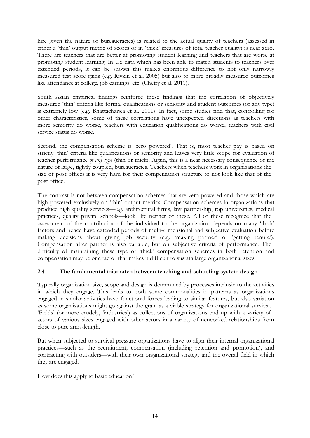hire given the nature of bureaucracies) is related to the actual quality of teachers (assessed in either a 'thin' output metric of scores or in 'thick' measures of total teacher quality) is near zero. There are teachers that are better at promoting student learning and teachers that are worse at promoting student learning. In US data which has been able to match students to teachers over extended periods, it can be shown this makes enormous difference to not only narrowly measured test score gains (e.g. Rivkin et al. 2005) but also to more broadly measured outcomes like attendance at college, job earnings, etc. (Chetty et al. 2011).

South Asian empirical findings reinforce these findings that the correlation of objectively measured 'thin' criteria like formal qualifications or seniority and student outcomes (of any type) is extremely low (e.g. Bhattacharjea et al. 2011). In fact, some studies find that, controlling for other characteristics, some of these correlations have unexpected directions as teachers with more seniority do worse, teachers with education qualifications do worse, teachers with civil service status do worse.

Second, the compensation scheme is 'zero powered'. That is, most teacher pay is based on strictly 'thin' criteria like qualifications or seniority and leaves very little scope for evaluation of teacher performance *of any type* (thin or thick). Again, this is a near necessary consequence of the nature of large, tightly coupled, bureaucracies. Teachers when teachers work in organizations the size of post offices it is very hard for their compensation structure to not look like that of the post office.

The contrast is not between compensation schemes that are zero powered and those which are high powered exclusively on 'thin' output metrics. Compensation schemes in organizations that produce high quality services—e.g. architectural firms, law partnership, top universities, medical practices, quality private schools—look like neither of these. All of these recognize that the assessment of the contribution of the individual to the organization depends on many 'thick' factors and hence have extended periods of multi-dimensional and subjective evaluation before making decisions about giving job security (e.g. 'making partner' or 'getting tenure'). Compensation after partner is also variable, but on subjective criteria of performance. The difficulty of maintaining these type of 'thick' compensation schemes in both retention and compensation may be one factor that makes it difficult to sustain large organizational sizes.

### **2.4 The fundamental mismatch between teaching and schooling system design**

Typically organization size, scope and design is determined by processes intrinsic to the activities in which they engage. This leads to both some commonalities in patterns as organizations engaged in similar activities have functional forces leading to similar features, but also variation as some organizations might go against the grain as a viable strategy for organizational survival. 'Fields' (or more crudely, 'industries') as collections of organizations end up with a variety of actors of various sizes engaged with other actors in a variety of networked relationships from close to pure arms-length.

But when subjected to survival pressure organizations have to align their internal organizational practices—such as the recruitment, compensation (including retention and promotion), and contracting with outsiders—with their own organizational strategy and the overall field in which they are engaged.

How does this apply to basic education?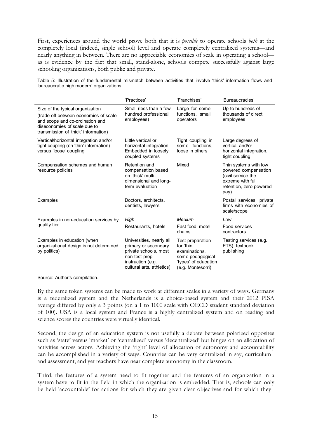First, experiences around the world prove both that it is *possible* to operate schools *both* at the completely local (indeed, single school) level and operate completely centralized systems—and nearly anything in between. There are no appreciable economies of scale in operating a school as is evidence by the fact that small, stand-alone, schools compete successfully against large schooling organizations, both public and private.

Table 5: Illustration of the fundamental mismatch between activities that involve 'thick' information flows and 'bureaucratic high modern' organizations

|                                                                                                                                                                                      | 'Practices'                                                                                                                                  | 'Franchises'                                                                                                     | 'Bureaucracies'                                                                                                             |
|--------------------------------------------------------------------------------------------------------------------------------------------------------------------------------------|----------------------------------------------------------------------------------------------------------------------------------------------|------------------------------------------------------------------------------------------------------------------|-----------------------------------------------------------------------------------------------------------------------------|
| Size of the typical organization<br>(trade off between economies of scale<br>and scope and co-ordination and<br>diseconomies of scale due to<br>transmission of 'thick' information) | Small (less than a few<br>hundred professional<br>employees)                                                                                 | Large for some<br>functions, small<br>operators                                                                  | Up to hundreds of<br>thousands of direct<br>employees                                                                       |
| Vertical/horizontal integration and/or<br>tight coupling (on 'thin' information)<br>versus 'loose' coupling                                                                          | Little vertical or<br>horizontal integration.<br>Embedded in loosely<br>coupled systems                                                      | Tight coupling in<br>some functions.<br>loose in others                                                          | Large degrees of<br>vertical and/or<br>horizontal integration,<br>tight coupling                                            |
| Compensation schemes and human<br>resource policies                                                                                                                                  | Retention and<br>compensation based<br>on 'thick' multi-<br>dimensional and long-<br>term evaluation                                         | Mixed                                                                                                            | Thin systems with low<br>powered compensation<br>(civil service the<br>extreme with full<br>retention, zero powered<br>pay) |
| Examples                                                                                                                                                                             | Doctors, architects,<br>dentists, lawyers                                                                                                    |                                                                                                                  | Postal services, private<br>firms with economies of<br>scale/scope                                                          |
| Examples in non-education services by                                                                                                                                                | High                                                                                                                                         | Medium                                                                                                           | Low                                                                                                                         |
| quality tier                                                                                                                                                                         | Restaurants, hotels                                                                                                                          | Fast food, motel<br>chains                                                                                       | Food services<br>contractors                                                                                                |
| Examples in education (when<br>organizational design is not determined<br>by politics)                                                                                               | Universities, nearly all<br>primary or secondary<br>private schools, most<br>non-test prep<br>instruction (e.g.<br>cultural arts, athletics) | Test preparation<br>for 'thin'<br>examinations,<br>some pedagogical<br>'types' of education<br>(e.g. Montesorri) | Testing services (e.g.<br>ETS), textbook<br>publishing                                                                      |

Source: Author's compilation.

By the same token systems can be made to work at different scales in a variety of ways. Germany is a federalized system and the Netherlands is a choice-based system and their 2012 PISA average differed by only a 3 points (on a 1 to 1000 scale with OECD student standard deviation of 100). USA is a local system and France is a highly centralized system and on reading and science scores the countries were virtually identical.

Second, the design of an education system is not usefully a debate between polarized opposites such as 'state' versus 'market' or 'centralized' versus 'decentralized' but hinges on an allocation of activities across actors. Achieving the 'right' level of allocation of autonomy and accountability can be accomplished in a variety of ways. Countries can be very centralized in say, curriculum and assessment, and yet teachers have near complete autonomy in the classroom.

Third, the features of a system need to fit together and the features of an organization in a system have to fit in the field in which the organization is embedded. That is, schools can only be held 'accountable' for actions for which they are given clear objectives and for which they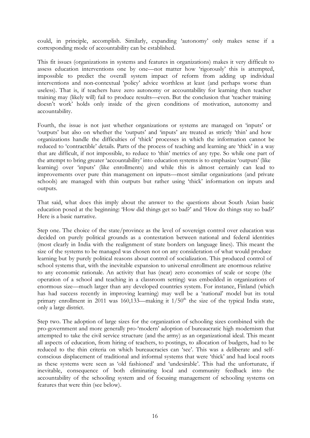could, in principle, accomplish. Similarly, expanding 'autonomy' only makes sense if a corresponding mode of accountability can be established.

This fit issues (organizations in systems and features in organizations) makes it very difficult to assess education interventions one by one—not matter how 'rigorously' this is attempted, impossible to predict the overall system impact of reform from adding up individual interventions and non-contextual 'policy' advice worthless at least (and perhaps worse than useless). That is, if teachers have zero autonomy or accountability for learning then teacher training may (likely will) fail to produce results—even. But the conclusion that 'teacher training doesn't work' holds only inside of the given conditions of motivation, autonomy and accountability.

Fourth, the issue is not just whether organizations or systems are managed on 'inputs' or 'outputs' but also on whether the 'outputs' and 'inputs' are treated as strictly 'thin' and how organizations handle the difficulties of 'thick' processes in which the information cannot be reduced to 'contractible' details. Parts of the process of teaching and learning are 'thick' in a way that are difficult, if not impossible, to reduce to 'thin' metrics of any type. So while one part of the attempt to bring greater 'accountability' into education systems is to emphasize 'outputs' (like learning) over 'inputs' (like enrollments) and while this is almost certainly can lead to improvements over pure thin management on inputs—most similar organizations (and private schools) are managed with thin outputs but rather using 'thick' information on inputs and outputs.

That said, what does this imply about the answer to the questions about South Asian basic education posed at the beginning: 'How did things get so bad?' and 'How do things stay so bad?' Here is a basic narrative.

Step one. The choice of the state/province as the level of sovereign control over education was decided on purely political grounds as a contestation between national and federal identities (most clearly in India with the realignment of state borders on language lines). This meant the size of the systems to be managed was chosen not on any consideration of what would produce learning but by purely political reasons about control of socialization. This produced control of school systems that, with the inevitable expansion to universal enrollment are enormous relative to any economic rationale. An activity that has (near) zero economies of scale or scope (the operation of a school and teaching in a classroom setting) was embedded in organizations of enormous size—much larger than any developed countries system. For instance, Finland (which has had success recently in improving learning) may well be a 'national' model but its total primary enrollment in 2011 was 160,133—making it  $1/50<sup>th</sup>$  the size of the typical India state, only a large district.

Step two. The adoption of large sizes for the organization of schooling sizes combined with the pro-government and more generally pro-'modern' adoption of bureaucratic high modernism that attempted to take the civil service structure (and the army) as an organizational ideal. This meant all aspects of education, from hiring of teachers, to postings, to allocation of budgets, had to be reduced to the thin criteria on which bureaucracies can 'see'. This was a deliberate and selfconscious displacement of traditional and informal systems that were 'thick' and had local roots as these systems were seen as 'old fashioned' and 'undesirable'. This had the unfortunate, if inevitable, consequence of both eliminating local and community feedback into the accountability of the schooling system and of focusing management of schooling systems on features that were thin (see below).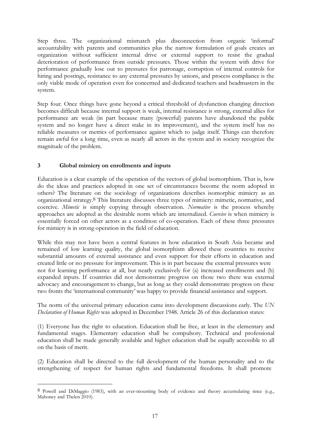Step three. The organizational mismatch plus disconnection from organic 'informal' accountability with parents and communities plus the narrow formulation of goals creates an organization without sufficient internal drive or external support to resist the gradual deterioration of performance from outside pressures. Those within the system with drive for performance gradually lose out to pressures for patronage, corruption of internal controls for hiring and postings, resistance to any external pressures by unions, and process compliance is the only viable mode of operation even for concerned and dedicated teachers and headmasters in the system.

Step four. Once things have gone beyond a critical threshold of dysfunction changing direction becomes difficult because internal support is weak, internal resistance is strong, external allies for performance are weak (in part because many (powerful) parents have abandoned the public system and no longer have a direct stake in its improvement), and the system itself has no reliable measures or metrics of performance against which to judge itself. Things can therefore remain awful for a long time, even as nearly all actors in the system and in society recognize the magnitude of the problem.

#### **3 Global mimicry on enrollments and inputs**

Education is a clear example of the operation of the vectors of global isomorphism. That is, how do the ideas and practices adopted in one set of circumstances become the norm adopted in others? The literature on the sociology of organizations describes isomorphic mimicry as an organizational strategy.8 This literature discusses three types of mimicry: mimetic, normative, and coercive. *Mimetic* is simply copying through observation. *Normative* is the process whereby approaches are adopted as the desirable norm which are internalized. *Coercive* is when mimicry is essentially forced on other actors as a condition of co-operation. Each of these three pressures for mimicry is in strong operation in the field of education.

While this may not have been a central features in how education in South Asia became and remained of low learning quality, the global isomorphism allowed these countries to receive substantial amounts of external assistance and even support for their efforts in education and created little or no pressure for improvement. This is in part because the external pressures were not for learning performance at all, but nearly exclusively for (a) increased enrollments and (b) expanded inputs. If countries did not demonstrate progress on those two there was external advocacy and encouragement to change, but as long as they could demonstrate progress on these two fronts the 'international community' was happy to provide financial assistance and support.

The norm of the universal primary education came into development discussions early. The *UN Declaration of Human Rights* was adopted in December 1948. Article 26 of this declaration states:

(1) Everyone has the right to education. Education shall be free, at least in the elementary and fundamental stages. Elementary education shall be compulsory. Technical and professional education shall be made generally available and higher education shall be equally accessible to all on the basis of merit.

(2) Education shall be directed to the full development of the human personality and to the strengthening of respect for human rights and fundamental freedoms. It shall promote

<sup>8</sup> Powell and DiMaggio (1983), with an ever-mounting body of evidence and theory accumulating since (e.g., Mahoney and Thelen 2010).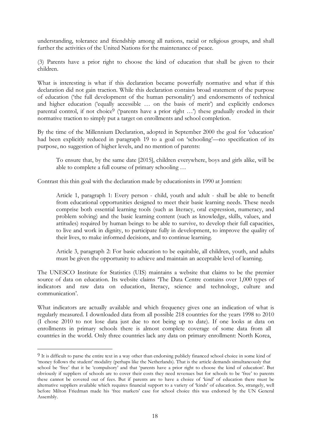understanding, tolerance and friendship among all nations, racial or religious groups, and shall further the activities of the United Nations for the maintenance of peace.

(3) Parents have a prior right to choose the kind of education that shall be given to their children.

What is interesting is what if this declaration became powerfully normative and what if this declaration did not gain traction. While this declaration contains broad statement of the purpose of education ('the full development of the human personality') and endorsements of technical and higher education ('equally accessible … on the basis of merit') and explicitly endorses parental control, if not choice<sup>9</sup> ('parents have a prior right ...') these gradually eroded in their normative traction to simply put a target on enrollments and school completion.

By the time of the Millennium Declaration, adopted in September 2000 the goal for 'education' had been explicitly reduced in paragraph 19 to a goal on 'schooling'—no specification of its purpose, no suggestion of higher levels, and no mention of parents:

To ensure that, by the same date [2015], children everywhere, boys and girls alike, will be able to complete a full course of primary schooling …

Contrast this thin goal with the declaration made by educationists in 1990 at Jomtien:

Article 1, paragraph 1: Every person - child, youth and adult - shall be able to benefit from educational opportunities designed to meet their basic learning needs. These needs comprise both essential learning tools (such as literacy, oral expression, numeracy, and problem solving) and the basic learning content (such as knowledge, skills, values, and attitudes) required by human beings to be able to survive, to develop their full capacities, to live and work in dignity, to participate fully in development, to improve the quality of their lives, to make informed decisions, and to continue learning.

Article 3, paragraph 2: For basic education to be equitable, all children, youth, and adults must be given the opportunity to achieve and maintain an acceptable level of learning.

The UNESCO Institute for Statistics (UIS) maintains a website that claims to be the premier source of data on education. Its website claims 'The Data Centre contains over 1,000 types of indicators and raw data on education, literacy, science and technology, culture and communication'.

What indicators are actually available and which frequency gives one an indication of what is regularly measured. I downloaded data from all possible 218 countries for the years 1998 to 2010 (I chose 2010 to not lose data just due to not being up to date). If one looks at data on enrollments in primary schools there is almost complete coverage of some data from all countries in the world. Only three countries lack any data on primary enrollment: North Korea,

<sup>9</sup> It is difficult to parse the entire text in a way other than endorsing publicly financed school choice in some kind of 'money follows the student' modality (perhaps like the Netherlands). That is the article demands simultaneously that school be 'free' that it be 'compulsory' and that 'parents have a prior right to choose the kind of education'. But obviously if suppliers of schools are to cover their costs they need revenues but for schools to be 'free' to parents these cannot be covered out of fees. But if parents are to have a choice of 'kind' of education there must be alternative suppliers available which requires financial support to a variety of 'kinds' of education. So, strangely, well before Milton Friedman made his 'free markets' case for school choice this was endorsed by the UN General Assembly.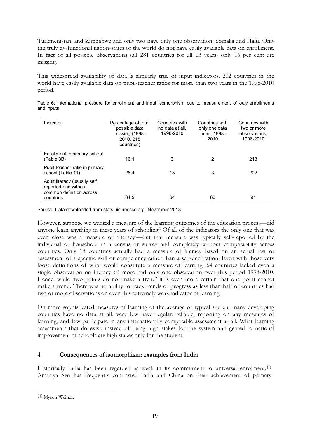Turkmenistan, and Zimbabwe and only two have only one observation: Somalia and Haiti. Only the truly dysfunctional nation-states of the world do not have easily available data on enrollment. In fact of all possible observations (all 281 countries for all 13 years) only 16 per cent are missing.

This widespread availability of data is similarly true of input indicators. 202 countries in the world have easily available data on pupil-teacher ratios for more than two years in the 1998-2010 period.

| Indicator                                                                                     | Percentage of total<br>possible data<br>missing (1998-<br>2010, 218<br>countries) | Countries with<br>no data at all.<br>1998-2010 | Countries with<br>only one data<br>point, 1998-<br>2010 | Countries with<br>two or more<br>observations.<br>1998-2010 |
|-----------------------------------------------------------------------------------------------|-----------------------------------------------------------------------------------|------------------------------------------------|---------------------------------------------------------|-------------------------------------------------------------|
| Enrollment in primary school<br>(Table 3B)                                                    | 16.1                                                                              | 3                                              | 2                                                       | 213                                                         |
| Pupil-teacher ratio in primary<br>school (Table 11)                                           | 28.4                                                                              | 13                                             | 3                                                       | 202                                                         |
| Adult literacy (usually self<br>reported and without<br>common definition across<br>countries | 84.9                                                                              | 64                                             | 63                                                      | 91                                                          |

Table 6: International pressure for enrollment and input isomorphism due to measurement of *only* enrollments and inputs

Source: Data downloaded from stats.uis.unesco.org, November 2013.

However, suppose we wanted a measure of the learning outcomes of the education process—did anyone learn anything in these years of schooling? Of all of the indicators the only one that was even close was a measure of 'literacy'—but that measure was typically self-reported by the individual or household in a census or survey and completely without comparability across countries. Only 18 countries actually had a measure of literacy based on an actual test or assessment of a specific skill or competency rather than a self-declaration. Even with those very loose definitions of what would constitute a measure of learning, 64 countries lacked even a single observation on literacy 63 more had only one observation over this period 1998-2010. Hence, while 'two points do not make a trend' it is even more certain that one point cannot make a trend. There was no ability to track trends or progress as less than half of countries had two or more observations on even this extremely weak indicator of learning.

On more sophisticated measures of learning of the average or typical student many developing countries have no data at all, very few have regular, reliable, reporting on any measures of learning, and few participate in any internationally comparable assessment at all. What learning assessments that do exist, instead of being high stakes for the system and geared to national improvement of schools are high stakes only for the student.

### **4 Consequences of isomorphism: examples from India**

Historically India has been regarded as weak in its commitment to universal enrolment.<sup>10</sup> Amartya Sen has frequently contrasted India and China on their achievement of primary

<sup>10</sup> Myron Weiner.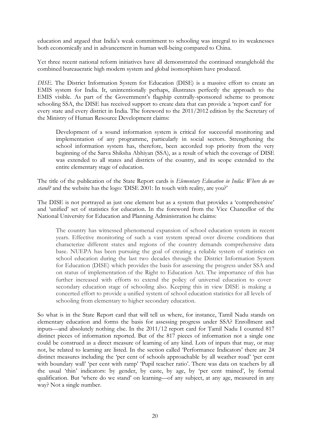education and argued that India's weak commitment to schooling was integral to its weaknesses both economically and in advancement in human well-being compared to China.

Yet three recent national reform initiatives have all demonstrated the continued stranglehold the combined bureaucratic high modern system and global isomorphism have produced.

*DISE.* The District Information System for Education (DISE) is a massive effort to create an EMIS system for India. It, unintentionally perhaps, illustrates perfectly the approach to the EMIS visible. As part of the Government's flagship centrally-sponsored scheme to promote schooling SSA, the DISE has received support to create data that can provide a 'report card' for every state and every district in India. The foreword to the 2011/2012 edition by the Secretary of the Ministry of Human Resource Development claims:

Development of a sound information system is critical for successful monitoring and implementation of any programme, particularly in social sectors. Strengthening the school information system has, therefore, been accorded top priority from the very beginning of the Sarva Shiksha Abhiyan (SSA), as a result of which the coverage of DISE was extended to all states and districts of the country, and its scope extended to the entire elementary stage of education.

The title of the publication of the State Report cards is *Elementary Education in India: Where do we stand?* and the website has the logo: 'DISE 2001: In touch with reality, are you?'

The DISE is not portrayed as just one element but as a system that provides a 'comprehensive' and 'unified' set of statistics for education. In the foreword from the Vice Chancellor of the National University for Education and Planning Administration he claims:

The country has witnessed phenomenal expansion of school education system in recent years. Effective monitoring of such a vast system spread over diverse conditions that characterize different states and regions of the country demands comprehensive data base. NUEPA has been pursuing the goal of creating a reliable system of statistics on school education during the last two decades through the District Information System for Education (DISE) which provides the basis for assessing the progress under SSA and on status of implementation of the Right to Education Act. The importance of this has further increased with efforts to extend the policy of universal education to cover secondary education stage of schooling also. Keeping this in view DISE is making a concerted effort to provide a unified system of school education statistics for all levels of schooling from elementary to higher secondary education.

So what is in the State Report card that will tell us where, for instance, Tamil Nadu stands on elementary education and forms the basis for assessing progress under SSA? Enrollment and inputs—and absolutely nothing else. In the 2011/12 report card for Tamil Nadu I counted 817 distinct pieces of information reported. But of the 817 pieces of information not a single one could be construed as a direct measure of learning of any kind. Lots of inputs that may, or may not, be related to learning are listed. In the section called 'Performance Indicators' there are 24 distinct measures including the 'per cent of schools approachable by all weather road' 'per cent with boundary wall' 'per cent with ramp' 'Pupil teacher ratio'. There was data on teachers by all the usual 'thin' indicators: by gender, by caste, by age, by 'per cent trained', by formal qualification. But 'where do we stand' on learning—of any subject, at any age, measured in any way? Not a single number.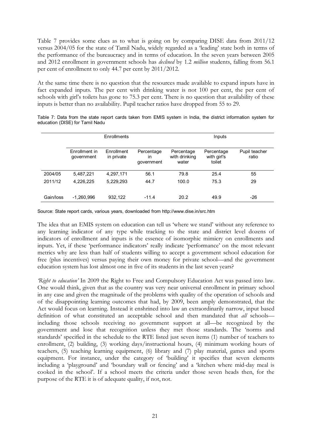Table 7 provides some clues as to what is going on by comparing DISE data from 2011/12 versus 2004/05 for the state of Tamil Nadu, widely regarded as a 'leading' state both in terms of the performance of the bureaucracy and in terms of education. In the seven years between 2005 and 2012 enrollment in government schools has *declined* by 1.2 *million* students, falling from 56.1 per cent of enrollment to only 44.7 per cent by 2011/2012.

At the same time there is no question that the resources made available to expand inputs have in fact expanded inputs. The per cent with drinking water is not 100 per cent, the per cent of schools with girl's toilets has gone to 75.3 per cent. There is no question that availability of these inputs is better than no availability. Pupil teacher ratios have dropped from 55 to 29.

|           |                             | Enrollments              |                                | Inputs                               |                                     |                        |  |  |
|-----------|-----------------------------|--------------------------|--------------------------------|--------------------------------------|-------------------------------------|------------------------|--|--|
|           | Enrollment in<br>government | Enrollment<br>in private | Percentage<br>in<br>government | Percentage<br>with drinking<br>water | Percentage<br>with girl's<br>toilet | Pupil teacher<br>ratio |  |  |
| 2004/05   | 5,487,221                   | 4,297,171                | 56.1                           | 79.8                                 | 25.4                                | 55                     |  |  |
| 2011/12   | 4,226,225                   | 5,229,293                | 44.7                           | 100.0                                | 75.3                                | 29                     |  |  |
| Gain/loss | $-1,260,996$                | 932,122                  | $-11.4$                        | 20.2                                 | 49.9                                | -26                    |  |  |

Table 7: Data from the state report cards taken from EMIS system in India, the district information system for education (DISE) for Tamil Nadu

Source: State report cards, various years, downloaded from <http://www.dise.in/src.htm>

The idea that an EMIS system on education can tell us 'where we stand' without any reference to any learning indicator of any type while tracking to the state and district level dozens of indicators of enrollment and inputs is the essence of isomorphic mimicry on enrollments and inputs. Yet, if these 'performance indicators' really indicate 'performance' on the most relevant metrics why are less than half of students willing to accept a government school education for free (plus incentives) versus paying their own money for private school—and the government education system has lost almost one in five of its students in the last seven years?

*'Right to education'* In 2009 the Right to Free and Compulsory Education Act was passed into law. One would think, given that as the country was very near universal enrollment in primary school in any case and given the magnitude of the problems with quality of the operation of schools and of the disappointing learning outcomes that had, by 2009, been amply demonstrated, that the Act would focus on learning. Instead it enshrined into law an extraordinarily narrow, input based definition of what constituted an acceptable school and then mandated that *all* schools including those schools receiving no government support at all—be recognized by the government and lose that recognition unless they met those standards. The 'norms and standards' specified in the schedule to the RTE listed just seven items (1) number of teachers to enrollment, (2) building, (3) working days/instructional hours, (4) minimum working hours of teachers, (5) teaching learning equipment, (6) library and (7) play material, games and sports equipment. For instance, under the category of 'building' it specifies that seven elements including a 'playground' and 'boundary wall or fencing' and a 'kitchen where mid-day meal is cooked in the school'. If a school meets the criteria under those seven heads then, for the purpose of the RTE it is of adequate quality, if not, not.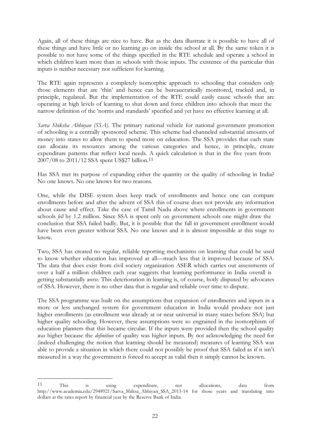Again, all of these things are nice to have. But as the data illustrate it is possible to have all of these things and have little or no learning go on inside the school at all. By the same token it is possible to not have some of the things specified in the RTE schedule and operate a school in which children learn more than in schools with those inputs. The existence of the particular thin inputs is neither necessary nor sufficient for learning.

The RTE again represents a completely isomorphic approach to schooling that considers only those elements that are 'thin' and hence can be bureaucratically monitored, tracked and, in principle, regulated. But the implementation of the RTE could easily cause schools that are operating at high levels of learning to shut down and force children into schools that meet the narrow definition of the 'norms and standards' specified and yet have no effective learning at all.

*Sarva Shiksha Abhuyan (SSA).* The primary national vehicle for national government promotion of schooling is a centrally sponsored scheme. This scheme had channeled substantial amounts of money into states to allow them to spend more on education. The SSA provides that each state can allocate its resources among the various categories and hence, in principle, create expenditure patterns that reflect local needs. A quick calculation is that in the five years from 2007/08 to 2011/12 SSA spent US\$27 billion.11

Has SSA met its purpose of expanding either the quantity or the quality of schooling in India? No one knows. No one knows for two reasons.

One, while the DISE system does keep track of enrollments and hence one can compare enrollments before and after the advent of SSA this of course does not provide any information about cause and effect. Take the case of Tamil Nadu above where enrollments in government schools *fell* by 1.2 million. Since SSA is spent only on government schools one might draw the conclusion that SSA failed badly. But, it is possible that the fall in government enrollment would have been even greater without SSA. No one knows and it is almost impossible at this stage to know.

Two, SSA has created no regular, reliable reporting mechanisms on learning that could be used to know whether education has improved at all—much less that it improved because of SSA. The data that does exist from civil society organization ASER which carries out assessments of over a half a million children each year suggests that learning performance in India overall is getting substantially *worse.* This deterioration in learning is, of course, hotly disputed by advocates of SSA. However, there is no other data that is regular and reliable over time to dispute.

The SSA programme was built on the assumptions that expansion of enrollments and inputs in a more or less unchanged system for government education in India would produce not just higher enrollments (as enrollment was already at or near universal in many states before SSA) but higher quality schooling. However, these assumptions were so engrained in the isomorphism of education planners that this became circular. If the inputs were provided then the school quality *was* higher because the *definition* of quality was higher inputs. By not acknowledging the need for (indeed challenging the notion that learning should be measured) measures of learning SSA was able to provide a situation in which there could not possibly be proof that SSA failed as if it isn't measured in a way the government is forced to accept as valid then it simply cannot be known.

<sup>11</sup> This is using expenditure, not allocations, data fro[m](http://www.academia.edu/2948921/Sarva_Shiksa_Abhiyan_SSA_2013-14) [http://www.academia.edu/2948921/Sarva\\_Shiksa\\_Abhiyan\\_SSA\\_2013-14 f](http://www.academia.edu/2948921/Sarva_Shiksa_Abhiyan_SSA_2013-14)or those years and translating into dollars at the rates report by financial year by the Reserve Bank of India.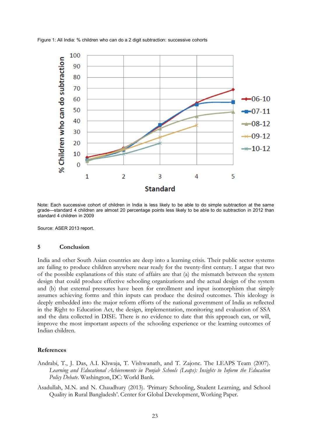Figure 1: All India: % children who can do a 2 digit subtraction: successive cohorts



Note: Each successive cohort of children in India is less likely to be able to do simple subtraction at the same grade—standard 4 children are almost 20 percentage points less likely to be able to do subtraction in 2012 than standard 4 children in 2009

Source: ASER 2013 report.

#### **5 Conclusion**

India and other South Asian countries are deep into a learning crisis. Their public sector systems are failing to produce children anywhere near ready for the twenty-first century. I argue that two of the possible explanations of this state of affairs are that (a) the mismatch between the system design that could produce effective schooling organizations and the actual design of the system and (b) that external pressures have been for enrollment and input isomorphism that simply assumes achieving forms and thin inputs can produce the desired outcomes. This ideology is deeply embedded into the major reform efforts of the national government of India as reflected in the Right to Education Act, the design, implementation, monitoring and evaluation of SSA and the data collected in DISE. There is no evidence to date that this approach can, or will, improve the most important aspects of the schooling experience or the learning outcomes of Indian children.

#### **References**

- Andrabi, T., J. Das, A.I. Khwaja, T. Vishwanath, and T. Zajonc. The LEAPS Team (2007). *Learning and Educational Achievements in Punjab Schools (Leaps): Insights to Inform the Education Policy Debate*. Washington, DC: World Bank.
- Asadullah, M.N. and N. Chaudhury (2013). 'Primary Schooling, Student Learning, and School Quality in Rural Bangladesh'. Center for Global Development, Working Paper.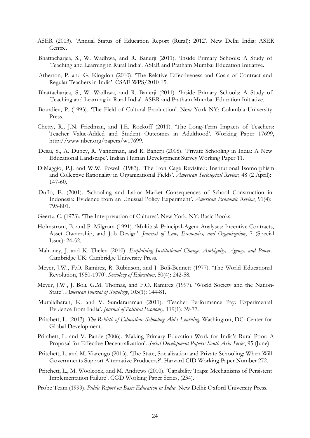- ASER (2013). 'Annual Status of Education Report (Rural): 2012'. New Delhi India: ASER Centre.
- Bhattacharjea, S., W. Wadhwa, and R. Banerji (2011). 'Inside Primary Schools: A Study of Teaching and Learning in Rural India'. ASER and Pratham Mumbai Education Initiative.
- Atherton, P. and G. Kingdon (2010). 'The Relative Effectiveness and Costs of Contract and Regular Teachers in India'. CSAE WPS/2010-15.
- Bhattacharjea, S., W. Wadhwa, and R. Banerji (2011). 'Inside Primary Schools: A Study of Teaching and Learning in Rural India'. ASER and Pratham Mumbai Education Initiative.
- Bourdieu, P. (1993). 'The Field of Cultural Production'. New York NY: Columbia University Press.
- Chetty, R., J.N. Friedman, and J.E. Rockoff (2011). 'The Long-Term Impacts of Teachers: Teacher Value-Added and Student Outcomes in Adulthood'. Working Paper 17699, [http://www.nber.org/papers/w17699.](http://www.nber.org/papers/w17699)
- Desai, S., A. Dubey, R. Vanneman, and R. Banerji (2008). 'Private Schooling in India: A New Educational Landscape'. Indian Human Development Survey Working Paper 11.
- DiMaggio, P.J. and W.W. Powell (1983). 'The Iron Cage Revisited: Institutional Isomorphism and Collective Rationality in Organizational Fields'. *American Sociological Review*, 48 (2 April): 147-60.
- Duflo, E. (2001). 'Schooling and Labor Market Consequences of School Construction in Indonesia: Evidence from an Unusual Policy Experiment'. *American Economic Review*, 91(4): 795-801.
- Geertz, C. (1973). 'The Interpretation of Cultures'. New York, NY: Basic Books.
- Holmstrom, B. and P. Milgrom (1991). 'Multitask Principal-Agent Analyses: Incentive Contracts, Asset Ownership, and Job Design'. *Journal of Law, Economics, and Organization*, 7 (Special Issue): 24-52.
- Mahoney, J. and K. Thelen (2010). *Explaining Institutional Change: Ambiguity, Agency, and Power*. Cambridge UK: Cambridge University Press.
- Meyer, J.W., F.O. Ramirez, R. Rubinson, and J. Boli-Bennett (1977). 'The World Educational Revolution, 1950-1970'. *Sociology of Education*, 50(4): 242-58.
- Meyer, J.W., J. Boli, G.M. Thomas, and F.O. Ramirez (1997). 'World Society and the Nation-State'. *American Journal of Sociology*, 103(1): 144-81.
- Muralidharan, K. and V. Sundararaman (2011). 'Teacher Performance Pay: Experimental Evidence from India'. *Journal of Political Economy*, 119(1): 39-77.
- Pritchett, L. (2013). *The Rebirth of Education: Schooling Ain*'*t Learning*. Washington, DC: Center for Global Development.
- Pritchett, L. and V. Pande (2006). 'Making Primary Education Work for India's Rural Poor: A Proposal for Effective Decentralization'. *Social Development Papers: South Asia Series*, 95 (June).
- Pritchett, L. and M. Viarengo (2013). 'The State, Socialization and Private Schooling: When Will Governments Support Alternative Producers?'. Harvard CID Working Paper Number 272.
- Pritchett, L., M. Woolcock, and M. Andrews (2010). 'Capability Traps: Mechanisms of Persistent Implementation Failure'. CGD Working Paper Series, (234).
- Probe Team (1999). *Public Report on Basic Education in India*. New Delhi: Oxford University Press.